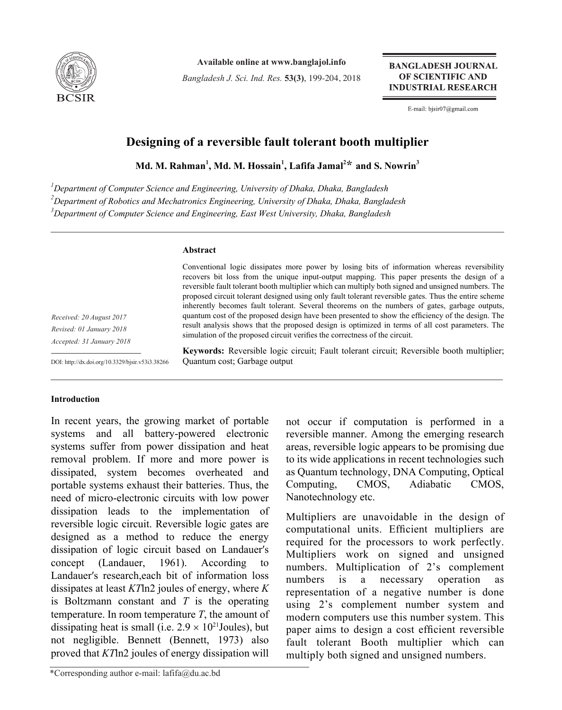

**Available online at www.banglajol.info**

*Bangladesh J. Sci. Ind. Res.* **53(3)**, 199-204, 2018

**BANGLADESH JOURNAL** OF SCIENTIFIC AND **INDUSTRIAL RESEARCH** 

E-mail: bjsir07@gmail.com

# **Designing of a reversible fault tolerant booth multiplier**

**Md. M. Rahman<sup>1</sup> , Md. M. Hossain1 , Lafifa Jamal2 \* and S. Nowrin3**

*1 Department of Computer Science and Engineering, University of Dhaka, Dhaka, Bangladesh 2 Department of Robotics and Mechatronics Engineering, University of Dhaka, Dhaka, Bangladesh 3 Department of Computer Science and Engineering, East West University, Dhaka, Bangladesh*

# **Abstract**

*Received: 20 August 2017 Revised: 01 January 2018 Accepted: 31 January 2018*

DOI: http://dx.doi.org/10.3329/bjsir.v53i3.38266

Conventional logic dissipates more power by losing bits of information whereas reversibility recovers bit loss from the unique input-output mapping. This paper presents the design of a reversible fault tolerant booth multiplier which can multiply both signed and unsigned numbers. The proposed circuit tolerant designed using only fault tolerant reversible gates. Thus the entire scheme inherently becomes fault tolerant. Several theorems on the numbers of gates, garbage outputs, quantum cost of the proposed design have been presented to show the efficiency of the design. The result analysis shows that the proposed design is optimized in terms of all cost parameters. The simulation of the proposed circuit verifies the correctness of the circuit.

**Keywords:** Reversible logic circuit; Fault tolerant circuit; Reversible booth multiplier; Quantum cost; Garbage output

# **Introduction**

In recent years, the growing market of portable systems and all battery-powered electronic systems suffer from power dissipation and heat removal problem. If more and more power is dissipated, system becomes overheated and portable systems exhaust their batteries. Thus, the need of micro-electronic circuits with low power dissipation leads to the implementation of reversible logic circuit. Reversible logic gates are designed as a method to reduce the energy dissipation of logic circuit based on Landauer′s concept (Landauer, 1961). According to Landauer′s research,each bit of information loss dissipates at least *KT*ln2 joules of energy, where *K* is Boltzmann constant and *T* is the operating temperature. In room temperature *T*, the amount of dissipating heat is small (i.e.  $2.9 \times 10^{21}$  Joules), but not negligible. Bennett (Bennett, 1973) also proved that *KT*ln2 joules of energy dissipation will

\*Corresponding author e-mail: lafifa@du.ac.bd

not occur if computation is performed in a reversible manner. Among the emerging research areas, reversible logic appears to be promising due to its wide applications in recent technologies such as Quantum technology, DNA Computing, Optical Computing, CMOS, Adiabatic CMOS, Nanotechnology etc.

Multipliers are unavoidable in the design of computational units. Efficient multipliers are required for the processors to work perfectly. Multipliers work on signed and unsigned numbers. Multiplication of 2's complement numbers is a necessary operation as representation of a negative number is done using 2's complement number system and modern computers use this number system. This paper aims to design a cost efficient reversible fault tolerant Booth multiplier which can multiply both signed and unsigned numbers.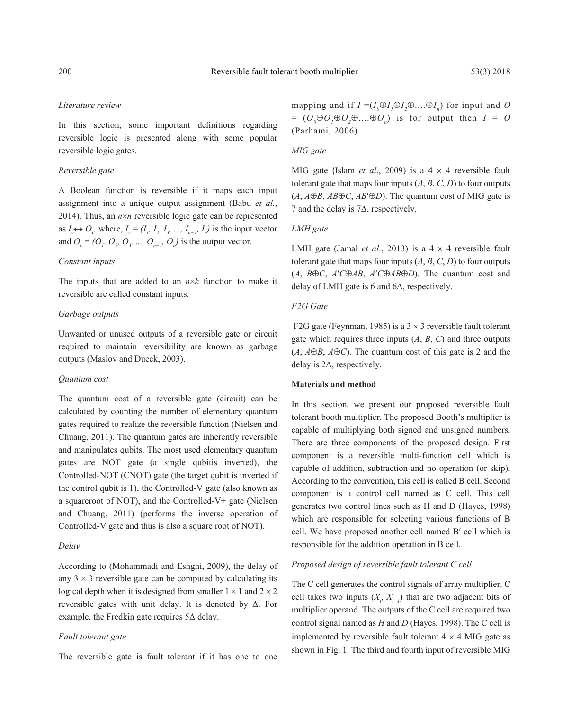#### *Literature review*

In this section, some important definitions regarding reversible logic is presented along with some popular reversible logic gates.

#### *Reversible gate*

A Boolean function is reversible if it maps each input assignment into a unique output assignment (Babu *et al.*, 2014). Thus, an  $n \times n$  reversible logic gate can be represented as  $I_v \leftrightarrow O_v$ , where,  $I_v = (I_p, I_p, I_p, \ldots, I_{n-p}, I_n)$  is the input vector and  $O_v = (O_v, O_v, O_v, \ldots, O_{n-p}, O_n)$  is the output vector.

#### *Constant inputs*

The inputs that are added to an *n*×*k* function to make it reversible are called constant inputs.

#### *Garbage outputs*

Unwanted or unused outputs of a reversible gate or circuit required to maintain reversibility are known as garbage outputs (Maslov and Dueck, 2003).

#### *Quantum cost*

The quantum cost of a reversible gate (circuit) can be calculated by counting the number of elementary quantum gates required to realize the reversible function (Nielsen and Chuang, 2011). The quantum gates are inherently reversible and manipulates qubits. The most used elementary quantum gates are NOT gate (a single qubitis inverted), the Controlled-NOT (CNOT) gate (the target qubit is inverted if the control qubit is 1), the Controlled-V gate (also known as a squareroot of NOT), and the Controlled-V+ gate (Nielsen and Chuang, 2011) (performs the inverse operation of Controlled-V gate and thus is also a square root of NOT).

#### *Delay*

According to (Mohammadi and Eshghi, 2009), the delay of any  $3 \times 3$  reversible gate can be computed by calculating its logical depth when it is designed from smaller  $1 \times 1$  and  $2 \times 2$ reversible gates with unit delay. It is denoted by  $\Delta$ . For example, the Fredkin gate requires 5Δ delay.

#### *Fault tolerant gate*

The reversible gate is fault tolerant if it has one to one

mapping and if  $I = (I_0 \oplus I_1 \oplus I_2 \oplus \dots \oplus I_n)$  for input and *O*  $= (O_0 \oplus O_1 \oplus O_2 \oplus \dots \oplus O_n)$  is for output then  $I = O$ (Parhami, 2006).

#### *MIG gate*

MIG gate (Islam *et al*., 2009) is a 4 × 4 reversible fault tolerant gate that maps four inputs  $(A, B, C, D)$  to four outputs  $(A, A \oplus B, AB \oplus C, AB' \oplus D)$ . The quantum cost of MIG gate is 7 and the delay is 7Δ, respectively.

#### *LMH gate*

LMH gate (Jamal *et al.*, 2013) is a  $4 \times 4$  reversible fault tolerant gate that maps four inputs  $(A, B, C, D)$  to four outputs (*A*, *B*⊕*C*, *A*′*C*⊕*AB*, *A*′*C*⊕*AB*⊕*D*). The quantum cost and delay of LMH gate is 6 and 6Δ, respectively.

#### *F2G Gate*

F2G gate (Feynman, 1985) is a  $3 \times 3$  reversible fault tolerant gate which requires three inputs (*A*, *B*, *C*) and three outputs  $(A, A \oplus B, A \oplus C)$ . The quantum cost of this gate is 2 and the delay is 2Δ, respectively.

#### **Materials and method**

In this section, we present our proposed reversible fault tolerant booth multiplier. The proposed Booth's multiplier is capable of multiplying both signed and unsigned numbers. There are three components of the proposed design. First component is a reversible multi-function cell which is capable of addition, subtraction and no operation (or skip). According to the convention, this cell is called B cell. Second component is a control cell named as C cell. This cell generates two control lines such as H and D (Hayes, 1998) which are responsible for selecting various functions of B cell. We have proposed another cell named B′ cell which is responsible for the addition operation in B cell.

# *Proposed design of reversible fault tolerant C cell*

The C cell generates the control signals of array multiplier. C cell takes two inputs  $(X_i, X_{i-1})$  that are two adjacent bits of multiplier operand. The outputs of the C cell are required two control signal named as *H* and *D* (Hayes, 1998). The C cell is implemented by reversible fault tolerant  $4 \times 4$  MIG gate as shown in Fig. 1. The third and fourth input of reversible MIG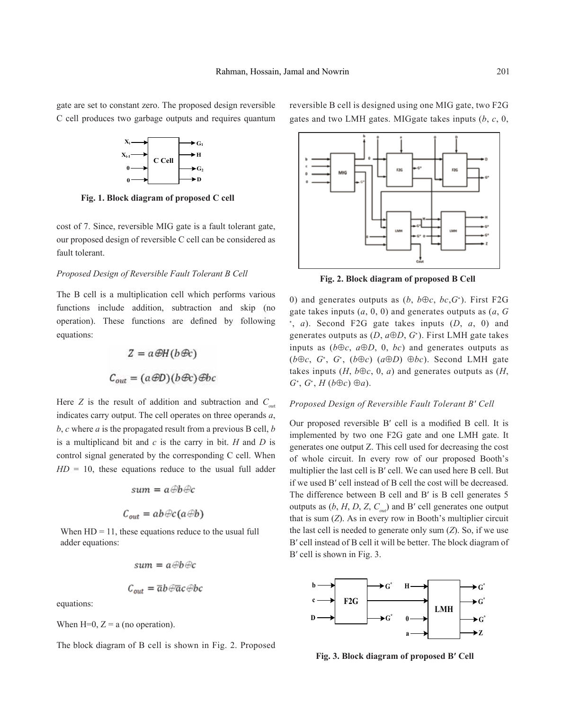gate are set to constant zero. The proposed design reversible C cell produces two garbage outputs and requires quantum



**Fig. 1. Block diagram of proposed C cell**

cost of 7. Since, reversible MIG gate is a fault tolerant gate, our proposed design of reversible C cell can be considered as fault tolerant.

#### *Proposed Design of Reversible Fault Tolerant B Cell*

The B cell is a multiplication cell which performs various functions include addition, subtraction and skip (no operation). These functions are defined by following equations:

$$
Z = a \mathcal{D}H(b \mathcal{B}c)
$$

$$
C_{out} = (a \mathcal{D}D)(b \mathcal{D}c) \mathcal{B}bc
$$

Here *Z* is the result of addition and subtraction and  $C_{out}$ indicates carry output. The cell operates on three operands *a*, *b*, *c* where *a* is the propagated result from a previous B cell, *b* is a multiplicand bit and *c* is the carry in bit. *H* and *D* is control signal generated by the corresponding C cell. When  $HD = 10$ , these equations reduce to the usual full adder

$$
sum = a \oplus b \oplus c
$$

$$
C_{out} = ab \oplus c(a \oplus b)
$$

When  $HD = 11$ , these equations reduce to the usual full adder equations:

$$
sum = a \oplus b \oplus c
$$

$$
C_{out} = \overline{a}b \oplus \overline{a}c \oplus b
$$

equations:

When  $H=0$ ,  $Z = a$  (no operation).

The block diagram of B cell is shown in Fig. 2. Proposed

reversible B cell is designed using one MIG gate, two F2G gates and two LMH gates. MIGgate takes inputs (*b*, *c*, 0,

**Fig. 2. Block diagram of proposed B Cell**

0) and generates outputs as  $(b, b \oplus c, bc, G^*)$ . First F2G gate takes inputs (*a*, 0, 0) and generates outputs as (*a*, *G* ∗ , *a*). Second F2G gate takes inputs (*D*, *a*, 0) and generates outputs as  $(D, a \oplus D, G^*)$ . First LMH gate takes inputs as  $(b \oplus c, a \oplus D, 0, bc)$  and generates outputs as (*b*⊕*c*, *G*<sup>∗</sup> , *G*<sup>∗</sup> , (*b*⊕*c*) (*a*⊕*D*) ⊕*bc*). Second LMH gate takes inputs  $(H, b \oplus c, 0, a)$  and generates outputs as  $(H, b \oplus c, 0, a)$ *G*<sup>∗</sup> , *G*<sup>∗</sup> , *H* (*b*⊕*c*) ⊕*a*).

#### *Proposed Design of Reversible Fault Tolerant B′ Cell*

Our proposed reversible B′ cell is a modified B cell. It is implemented by two one F2G gate and one LMH gate. It generates one output Z. This cell used for decreasing the cost of whole circuit. In every row of our proposed Booth's multiplier the last cell is B′ cell. We can used here B cell. But if we used B′ cell instead of B cell the cost will be decreased. The difference between B cell and B' is B cell generates 5 outputs as  $(b, H, D, Z, C_{out})$  and B' cell generates one output that is sum (*Z*). As in every row in Booth's multiplier circuit the last cell is needed to generate only sum (*Z*). So, if we use B′ cell instead of B cell it will be better. The block diagram of B′ cell is shown in Fig. 3.



**Fig. 3. Block diagram of proposed B′ Cell**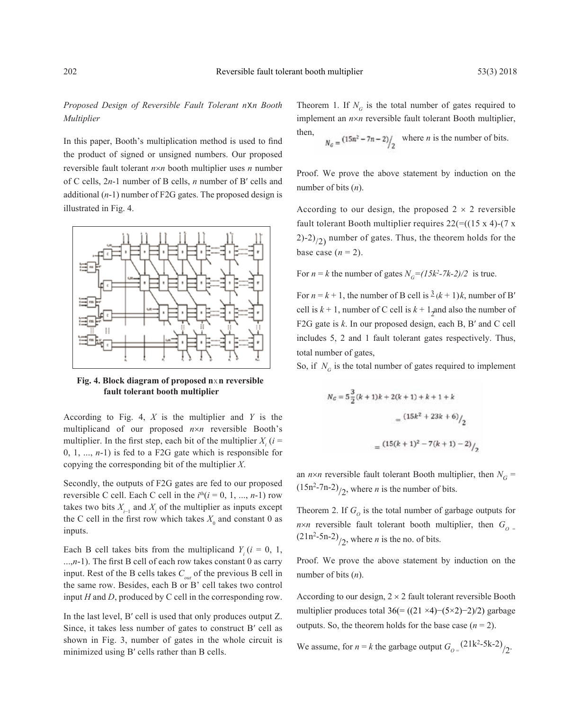# *Proposed Design of Reversible Fault Tolerant n*X*n Booth Multiplier*

In this paper, Booth's multiplication method is used to find the product of signed or unsigned numbers. Our proposed reversible fault tolerant *n*×*n* booth multiplier uses *n* number of C cells, 2*n*-1 number of B cells, *n* number of B′ cells and additional (*n*-1) number of F2G gates. The proposed design is illustrated in Fig. 4.





According to Fig. 4, *X* is the multiplier and *Y* is the multiplicand of our proposed *n*×*n* reversible Booth's multiplier. In the first step, each bit of the multiplier  $X_i$  ( $i =$ 0, 1, ..., *n*-1) is fed to a F2G gate which is responsible for copying the corresponding bit of the multiplier *X*.

Secondly, the outputs of F2G gates are fed to our proposed reversible C cell. Each C cell in the  $i<sup>th</sup>(i = 0, 1, ..., n-1)$  row takes two bits  $X_{i-1}$  and  $X_i$  of the multiplier as inputs except the C cell in the first row which takes  $X_0$  and constant 0 as inputs.

Each B cell takes bits from the multiplicand  $Y_i$  ( $i = 0, 1$ , ...,*n*-1). The first B cell of each row takes constant 0 as carry input. Rest of the B cells takes  $C_{out}$  of the previous B cell in the same row. Besides, each B or B' cell takes two control input *H* and *D*, produced by C cell in the corresponding row.

In the last level, B′ cell is used that only produces output Z. Since, it takes less number of gates to construct B′ cell as shown in Fig. 3, number of gates in the whole circuit is minimized using B′ cells rather than B cells.

Theorem 1. If  $N<sub>G</sub>$  is the total number of gates required to implement an *n*×*n* reversible fault tolerant Booth multiplier, then,

$$
N_G = \frac{(15n^2 - 7n - 2)}{2}
$$
 where *n* is the number of bits.

Proof. We prove the above statement by induction on the number of bits (*n*).

According to our design, the proposed  $2 \times 2$  reversible fault tolerant Booth multiplier requires  $22 = ((15 \times 4)-(7 \times$  $2)-2$ <sub>/2</sub>) number of gates. Thus, the theorem holds for the base case  $(n = 2)$ .

For  $n = k$  the number of gates  $N_G = (15k^2 - 7k - 2)/2$  is true.

For  $n = k + 1$ , the number of B cell is  $\frac{3}{2}(k + 1)k$ , number of B' cell is  $k + 1$ , number of C cell is  $k + 1$ <sub>2</sub> and also the number of F2G gate is *k*. In our proposed design, each B, B′ and C cell includes 5, 2 and 1 fault tolerant gates respectively. Thus, total number of gates,

So, if  $N<sub>G</sub>$  is the total number of gates required to implement

$$
N_G = 5\frac{3}{2}(k+1)k + 2(k+1) + k + 1 + k
$$

$$
= (15k^2 + 23k + 6) / \frac{1}{2}
$$

$$
= (15(k+1)^2 - 7(k+1) - 2) / \frac{1}{2}
$$

an  $n \times n$  reversible fault tolerant Booth multiplier, then  $N_G$  =  $(15n^2-7n-2)/2$ , where *n* is the number of bits.

Theorem 2. If  $G_{\alpha}$  is the total number of garbage outputs for  $n \times n$  reversible fault tolerant booth multiplier, then  $G_{\text{o}} =$  $(21n^2-5n-2)$ <sub>/2</sub>, where *n* is the no. of bits.

Proof. We prove the above statement by induction on the number of bits (*n*).

According to our design,  $2 \times 2$  fault tolerant reversible Booth multiplier produces total 36(= $((21 \times 4)$ – $(5 \times 2)$ –2)/2) garbage outputs. So, the theorem holds for the base case  $(n = 2)$ .

We assume, for  $n = k$  the garbage output  $G_{O} = \frac{(21k^2-5k-2)}{2}$ .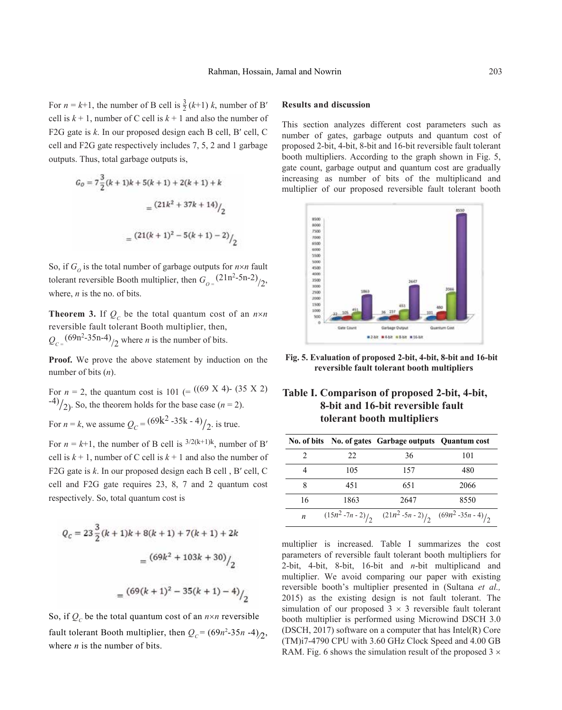For  $n = k+1$ , the number of B cell is  $\frac{3}{2}(k+1)$  *k*, number of B' cell is  $k + 1$ , number of C cell is  $k + 1$  and also the number of F2G gate is *k*. In our proposed design each B cell, B′ cell, C cell and F2G gate respectively includes 7, 5, 2 and 1 garbage outputs. Thus, total garbage outputs is,

$$
G_0 = 7\frac{3}{2}(k+1)k + 5(k+1) + 2(k+1) + k
$$

$$
= \frac{(21k^2 + 37k + 14)}{2}
$$

$$
= \frac{(21(k+1)^2 - 5(k+1) - 2)}{2}
$$

So, if  $G_{\rho}$  is the total number of garbage outputs for  $n \times n$  fault tolerant reversible Booth multiplier, then  $G_{\text{o}} = \frac{(21n^2 - 5n - 2)}{2}$ , where, *n* is the no. of bits.

**Theorem 3.** If  $Q_c$  be the total quantum cost of an  $n \times n$ reversible fault tolerant Booth multiplier, then,  $Q_{C} = \frac{(69n^2 - 35n - 4)}{2}$  where *n* is the number of bits.

**Proof.** We prove the above statement by induction on the number of bits (*n*).

For  $n = 2$ , the quantum cost is 101 (= ((69 X 4) - (35 X 2))  $\binom{-4}{2}$ . So, the theorem holds for the base case (*n* = 2).

For  $n = k$ , we assume  $Q_C = \frac{(69k^2 - 35k - 4)}{2}$ . is true.

For  $n = k+1$ , the number of B cell is <sup>3/2(k+1)k</sup>, number of B' cell is  $k + 1$ , number of C cell is  $k + 1$  and also the number of F2G gate is *k*. In our proposed design each B cell , B′ cell, C cell and F2G gate requires 23, 8, 7 and 2 quantum cost respectively. So, total quantum cost is

$$
Q_c = 23\frac{3}{2}(k+1)k + 8(k+1) + 7(k+1) + 2k
$$

$$
= \frac{(69k^2 + 103k + 30)}{2}
$$

$$
= \frac{(69(k+1)^2 - 35(k+1) - 4)}{2}
$$

So, if  $Q_c$  be the total quantum cost of an  $n \times n$  reversible fault tolerant Booth multiplier, then  $Q_C = (69n^2 \cdot 35n \cdot 4)_2$ , where *n* is the number of bits.

## **Results and discussion**

This section analyzes different cost parameters such as number of gates, garbage outputs and quantum cost of proposed 2-bit, 4-bit, 8-bit and 16-bit reversible fault tolerant booth multipliers. According to the graph shown in Fig. 5, gate count, garbage output and quantum cost are gradually increasing as number of bits of the multiplicand and multiplier of our proposed reversible fault tolerant booth



**Fig. 5. Evaluation of proposed 2-bit, 4-bit, 8-bit and 16-bit reversible fault tolerant booth multipliers**

# **Table I. Comparison of proposed 2-bit, 4-bit, 8-bit and 16-bit reversible fault tolerant booth multipliers**

|    |      | No. of bits No. of gates Garbage outputs Quantum cost           |      |
|----|------|-----------------------------------------------------------------|------|
|    | 22   | 36                                                              | 101  |
|    | 105  | 157                                                             | 480  |
| 8  | 451  | 651                                                             | 2066 |
| 16 | 1863 | 2647                                                            | 8550 |
| n  |      | $(15n^2 - 7n - 2)/2$ $(21n^2 - 5n - 2)/2$ $(69n^2 - 35n - 4)/2$ |      |

multiplier is increased. Table I summarizes the cost parameters of reversible fault tolerant booth multipliers for 2-bit, 4-bit, 8-bit, 16-bit and *n*-bit multiplicand and multiplier. We avoid comparing our paper with existing reversible booth's multiplier presented in (Sultana *et al.,*  2015) as the existing design is not fault tolerant. The simulation of our proposed  $3 \times 3$  reversible fault tolerant booth multiplier is performed using Microwind DSCH 3.0 (DSCH, 2017) software on a computer that has Intel(R) Core (TM)i7-4790 CPU with 3.60 GHz Clock Speed and 4.00 GB RAM. Fig. 6 shows the simulation result of the proposed  $3 \times$